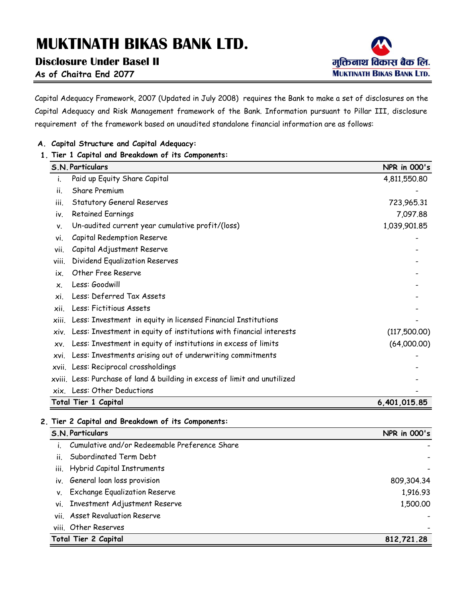**Disclosure Under Basel II**



**As of Chaitra End 2077**

Capital Adequacy Framework, 2007 (Updated in July 2008) requires the Bank to make a set of disclosures on the Capital Adequacy and Risk Management framework of the Bank. Information pursuant to Pillar III, disclosure requirement of the framework based on unaudited standalone financial information are as follows:

#### **A. Capital Structure and Capital Adequacy:**

#### **1. Tier 1 Capital and Breakdown of its Components:**

| S.N. Particulars                                                            | <b>NPR</b> in 000's |
|-----------------------------------------------------------------------------|---------------------|
| Paid up Equity Share Capital                                                | 4,811,550.80        |
| <b>Share Premium</b><br>ii.                                                 |                     |
| <b>Statutory General Reserves</b><br>iii.                                   | 723,965.31          |
| <b>Retained Earnings</b><br>iv.                                             | 7,097.88            |
| Un-audited current year cumulative profit/(loss)<br>ν.                      | 1,039,901.85        |
| Capital Redemption Reserve<br>vi.                                           |                     |
| Capital Adjustment Reserve<br>vii.                                          |                     |
| Dividend Equalization Reserves<br>viii.                                     |                     |
| Other Free Reserve<br>ix.                                                   |                     |
| Less: Goodwill<br>$\mathsf{x}$ .                                            |                     |
| Less: Deferred Tax Assets<br>хi.                                            |                     |
| Less: Fictitious Assets<br>xii.                                             |                     |
| Less: Investment in equity in licensed Financial Institutions<br>xiii.      |                     |
| Less: Investment in equity of institutions with financial interests<br>xiv. | (117,500.00)        |
| Less: Investment in equity of institutions in excess of limits<br>XV.       | (64,000.00)         |
| Less: Investments arising out of underwriting commitments<br>xvi.           |                     |
| xvii. Less: Reciprocal crossholdings                                        |                     |
| xviii. Less: Purchase of land & building in excess of limit and unutilized  |                     |
| xix. Less: Other Deductions                                                 |                     |
| Total Tier 1 Capital                                                        | 6,401,015.85        |

**2. Tier 2 Capital and Breakdown of its Components:**

| Cumulative and/or Redeemable Preference Share |            |
|-----------------------------------------------|------------|
| Subordinated Term Debt<br>ii.                 |            |
| iii. Hybrid Capital Instruments               |            |
| iv. General loan loss provision               | 809,304.34 |
| <b>Exchange Equalization Reserve</b><br>V.    | 1,916.93   |
| vi. Investment Adjustment Reserve             | 1,500.00   |
| vii. Asset Revaluation Reserve                |            |
| viii. Other Reserves                          |            |
| Total Tier 2 Capital                          | 812,721.28 |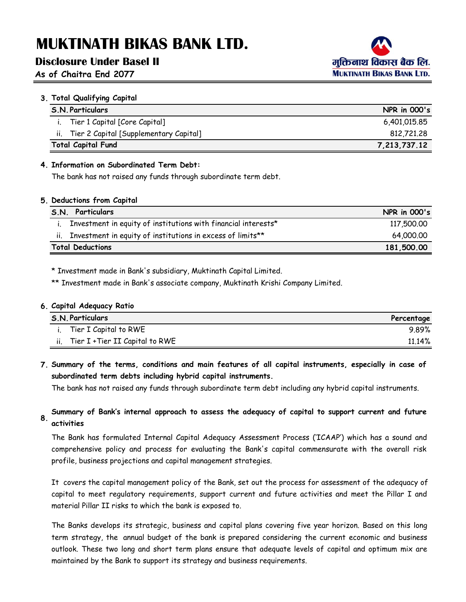### **Disclosure Under Basel II**

### **As of Chaitra End 2077**



| 3. Total Qualifying Capital                |                     |
|--------------------------------------------|---------------------|
| <b>S.N. Particulars</b>                    | <b>NPR</b> in 000's |
| i. Tier 1 Capital [Core Capital]           | 6,401,015.85        |
| ii. Tier 2 Capital [Supplementary Capital] | 812,721.28          |
| <b>Total Capital Fund</b>                  | 7,213,737.12        |

#### **4. Information on Subordinated Term Debt:**

The bank has not raised any funds through subordinate term debt.

#### **5. Deductions from Capital**

| Particulars<br>S.N.                                            | <b>NPR</b> in 000's |
|----------------------------------------------------------------|---------------------|
| Investment in equity of institutions with financial interests* | 117,500.00          |
| Investment in equity of institutions in excess of limits**     | 64,000,00           |
| <b>Total Deductions</b><br>181,500.00                          |                     |

\* Investment made in Bank's subsidiary, Muktinath Capital Limited.

\*\* Investment made in Bank's associate company, Muktinath Krishi Company Limited.

#### **6. Capital Adequacy Ratio**

|     | <b>S.N. Particulars</b>         | Percentage |
|-----|---------------------------------|------------|
|     | Tier I Capital to RWE           | $9.89\%$   |
| ii. | Tier I + Tier II Capital to RWE | $11.14\%$  |

**7. Summary of the terms, conditions and main features of all capital instruments, especially in case of subordinated term debts including hybrid capital instruments.**

The bank has not raised any funds through subordinate term debt including any hybrid capital instruments.

#### **8. Summary of Bank's internal approach to assess the adequacy of capital to support current and future activities**

The Bank has formulated Internal Capital Adequacy Assessment Process ('ICAAP') which has a sound and comprehensive policy and process for evaluating the Bank's capital commensurate with the overall risk profile, business projections and capital management strategies.

It covers the capital management policy of the Bank, set out the process for assessment of the adequacy of capital to meet regulatory requirements, support current and future activities and meet the Pillar I and material Pillar II risks to which the bank is exposed to.

The Banks develops its strategic, business and capital plans covering five year horizon. Based on this long term strategy, the annual budget of the bank is prepared considering the current economic and business outlook. These two long and short term plans ensure that adequate levels of capital and optimum mix are maintained by the Bank to support its strategy and business requirements.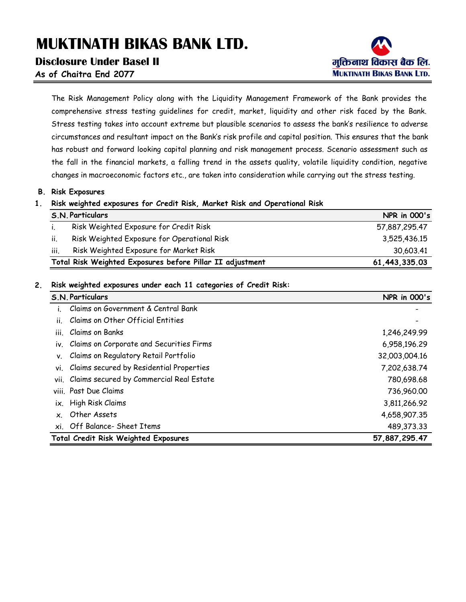### **Disclosure Under Basel II**

मक्तिनाथ विकास बैंक लि. **MUKTINATH BIKAS BANK LTD.** 

**As of Chaitra End 2077**

The Risk Management Policy along with the Liquidity Management Framework of the Bank provides the comprehensive stress testing guidelines for credit, market, liquidity and other risk faced by the Bank. Stress testing takes into account extreme but plausible scenarios to assess the bank's resilience to adverse circumstances and resultant impact on the Bank's risk profile and capital position. This ensures that the bank has robust and forward looking capital planning and risk management process. Scenario assessment such as the fall in the financial markets, a falling trend in the assets quality, volatile liquidity condition, negative changes in macroeconomic factors etc., are taken into consideration while carrying out the stress testing.

#### **B. Risk Exposures**

#### **1. Risk weighted exposures for Credit Risk, Market Risk and Operational Risk**

|      | S.N. Particulars                                          | <b>NPR</b> in 000's |
|------|-----------------------------------------------------------|---------------------|
|      | Risk Weighted Exposure for Credit Risk                    | 57,887,295.47       |
| ii.  | Risk Weighted Exposure for Operational Risk               | 3,525,436.15        |
| iii. | Risk Weighted Exposure for Market Risk                    | 30,603.41           |
|      | Total Risk Weighted Exposures before Pillar II adjustment | 61,443,335.03       |

#### **2. Risk weighted exposures under each 11 categories of Credit Risk:**

| S.N. Particulars                                | <b>NPR</b> in 000's |
|-------------------------------------------------|---------------------|
| Claims on Government & Central Bank             |                     |
| Claims on Other Official Entities<br>ii.        |                     |
| iii.<br>Claims on Banks                         | 1,246,249.99        |
| iv. Claims on Corporate and Securities Firms    | 6,958,196.29        |
| Claims on Regulatory Retail Portfolio<br>٧.     | 32,003,004.16       |
| Claims secured by Residential Properties<br>vi. | 7,202,638.74        |
| vii. Claims secured by Commercial Real Estate   | 780,698.68          |
| viii. Past Due Claims                           | 736,960.00          |
| ix. High Risk Claims                            | 3,811,266.92        |
| Other Assets<br>$\mathsf{x}$ .                  | 4,658,907.35        |
| xi. Off Balance- Sheet Items                    | 489,373.33          |
| <b>Total Credit Risk Weighted Exposures</b>     | 57,887,295.47       |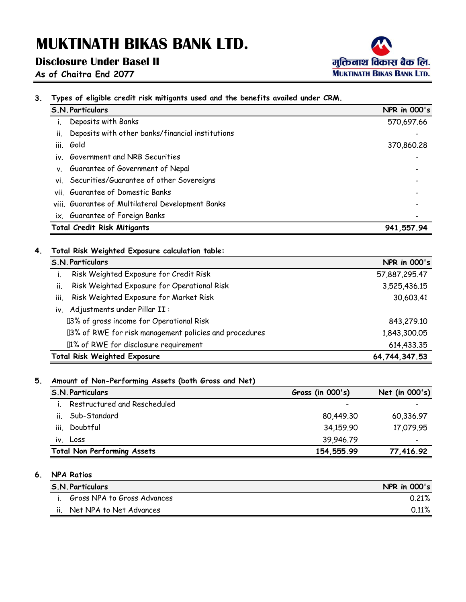**3. Types of eligible credit risk mitigants used and the benefits availed under CRM.**

# **Disclosure Under Basel II**



**As of Chaitra End 2077**

| S.N. Particulars                                                    | <b>NPR</b> in 000's                |
|---------------------------------------------------------------------|------------------------------------|
| Deposits with Banks                                                 | 570,697.66                         |
| Deposits with other banks/financial institutions<br>Ĥ.              |                                    |
| Gold<br>iii.                                                        | 370,860.28                         |
| Government and NRB Securities<br>iv.                                |                                    |
| Guarantee of Government of Nepal<br>ν.                              |                                    |
| Securities/Guarantee of other Sovereigns<br>vi.                     |                                    |
| Guarantee of Domestic Banks<br>vii                                  |                                    |
| viii. Guarantee of Multilateral Development Banks                   |                                    |
| ix. Guarantee of Foreign Banks                                      |                                    |
|                                                                     |                                    |
| <b>Total Credit Risk Mitigants</b>                                  |                                    |
| Total Risk Weighted Exposure calculation table:<br>S.N. Particulars | 941, 557.94<br><b>NPR</b> in 000's |
| Risk Weighted Exposure for Credit Risk<br>i.                        | 57,887,295.47                      |
| Risk Weighted Exposure for Operational Risk<br>ii.                  | 3,525,436.15                       |
| iii.<br>Risk Weighted Exposure for Market Risk                      | 30,603.41                          |
| Adjustments under Pillar II :<br>iv.                                |                                    |
| Y3% of gross income for Operational Risk                            | 843,279.10                         |
| Ÿ3% of RWE for risk management policies and procedures              |                                    |
| Ÿ1% of RWE for disclosure requirement                               | 1,843,300.05<br>614,433.35         |

#### **5. Amount of Non-Performing Assets (both Gross and Net)**

| Gross (in 000's) | Net (in 000's) |  |
|------------------|----------------|--|
|                  |                |  |
| 80,449.30        | 60,336.97      |  |
| 34,159.90        | 17,079.95      |  |
| 39,946.79        |                |  |
| 154,555.99       | 77,416.92      |  |
|                  |                |  |

### **6. NPA Ratios**

|     | <b>S.N. Particulars</b>     | <b>NPR</b> in 000's |
|-----|-----------------------------|---------------------|
|     | Gross NPA to Gross Advances | 0.21%               |
| ii. | Net NPA to Net Advances     | $0.11\%$            |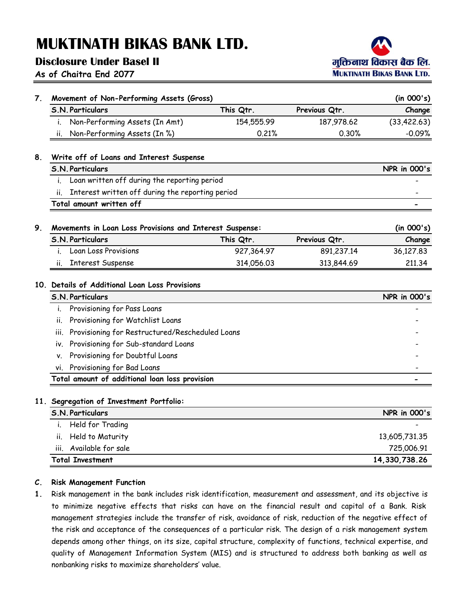# **Disclosure Under Basel II**

**As of Chaitra End 2077**



| 7. | Movement of Non-Performing Assets (Gross)                            |            |               | (in 000's)          |
|----|----------------------------------------------------------------------|------------|---------------|---------------------|
|    | <b>S.N. Particulars</b>                                              | This Qtr.  | Previous Qtr. | Change              |
|    | Non-Performing Assets (In Amt)<br>Ť.                                 | 154,555.99 | 187,978.62    | (33, 422.63)        |
|    | Non-Performing Assets (In %)<br>ii.                                  | 0.21%      | 0.30%         | $-0.09%$            |
| 8. | Write off of Loans and Interest Suspense                             |            |               |                     |
|    | <b>S.N. Particulars</b>                                              |            |               | <b>NPR</b> in 000's |
|    | Loan written off during the reporting period<br>i.                   |            |               |                     |
|    | Interest written off during the reporting period<br>ii.              |            |               |                     |
|    | Total amount written off                                             |            |               |                     |
|    |                                                                      |            |               |                     |
| 9. | Movements in Loan Loss Provisions and Interest Suspense:             |            |               | (in 000's)          |
|    | <b>S.N. Particulars</b>                                              | This Qtr.  | Previous Qtr. | Change              |
|    | Loan Loss Provisions                                                 | 927,364.97 | 891,237.14    | 36,127.83           |
|    |                                                                      |            |               |                     |
|    | <b>Interest Suspense</b><br>ii.                                      | 314,056.03 | 313,844.69    | 211.34              |
|    | 10. Details of Additional Loan Loss Provisions                       |            |               |                     |
|    | <b>S.N. Particulars</b>                                              |            |               |                     |
|    | Provisioning for Pass Loans<br>i.                                    |            |               |                     |
|    | Provisioning for Watchlist Loans<br>ii.                              |            |               |                     |
|    | Provisioning for Restructured/Rescheduled Loans<br>iii.              |            |               |                     |
|    | Provisioning for Sub-standard Loans<br>iv.                           |            |               | <b>NPR</b> in 000's |
|    | ٧.                                                                   |            |               |                     |
|    | Provisioning for Doubtful Loans<br>Provisioning for Bad Loans<br>vi. |            |               |                     |

| <b>S.N. Particulars</b>    | <b>NPR</b> in 000's |
|----------------------------|---------------------|
| Held for Trading           |                     |
| ii. Held to Maturity       | 13,605,731.35       |
| Available for sale<br>iii. | 725,006.91          |
| <b>Total Investment</b>    | 14,330,738.26       |

#### **C. Risk Management Function**

**1.** Risk management in the bank includes risk identification, measurement and assessment, and its objective is to minimize negative effects that risks can have on the financial result and capital of a Bank. Risk management strategies include the transfer of risk, avoidance of risk, reduction of the negative effect of the risk and acceptance of the consequences of a particular risk. The design of a risk management system depends among other things, on its size, capital structure, complexity of functions, technical expertise, and quality of Management Information System (MIS) and is structured to address both banking as well as nonbanking risks to maximize shareholders' value.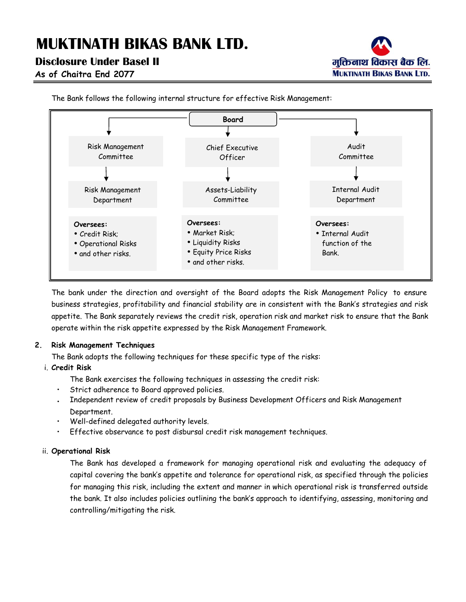# **Disclosure Under Basel II**



**As of Chaitra End 2077**



The Bank follows the following internal structure for effective Risk Management:

The bank under the direction and oversight of the Board adopts the Risk Management Policy to ensure business strategies, profitability and financial stability are in consistent with the Bank's strategies and risk appetite. The Bank separately reviews the credit risk, operation risk and market risk to ensure that the Bank operate within the risk appetite expressed by the Risk Management Framework.

### **2. Risk Management Techniques**

The Bank adopts the following techniques for these specific type of the risks:

### i. **Credit Risk**

The Bank exercises the following techniques in assessing the credit risk:

- Strict adherence to Board approved policies.
- Independent review of credit proposals by Business Development Officers and Risk Management Department.
- Well-defined delegated authority levels.
- Effective observance to post disbursal credit risk management techniques.

### ii. **Operational Risk**

The Bank has developed a framework for managing operational risk and evaluating the adequacy of capital covering the bank's appetite and tolerance for operational risk, as specified through the policies for managing this risk, including the extent and manner in which operational risk is transferred outside the bank. It also includes policies outlining the bank's approach to identifying, assessing, monitoring and controlling/mitigating the risk.